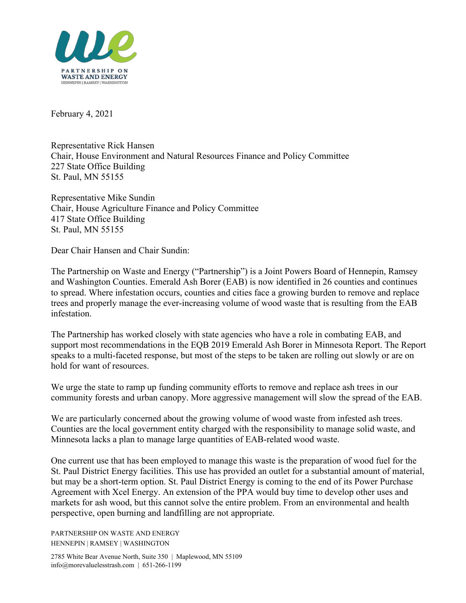

February 4, 2021

Representative Rick Hansen Chair, House Environment and Natural Resources Finance and Policy Committee 227 State Office Building St. Paul, MN 55155

Representative Mike Sundin Chair, House Agriculture Finance and Policy Committee 417 State Office Building St. Paul, MN 55155

Dear Chair Hansen and Chair Sundin:

The Partnership on Waste and Energy ("Partnership") is a Joint Powers Board of Hennepin, Ramsey and Washington Counties. Emerald Ash Borer (EAB) is now identified in 26 counties and continues to spread. Where infestation occurs, counties and cities face a growing burden to remove and replace trees and properly manage the ever-increasing volume of wood waste that is resulting from the EAB infestation.

The Partnership has worked closely with state agencies who have a role in combating EAB, and support most recommendations in the EQB 2019 Emerald Ash Borer in Minnesota Report. The Report speaks to a multi-faceted response, but most of the steps to be taken are rolling out slowly or are on hold for want of resources.

We urge the state to ramp up funding community efforts to remove and replace ash trees in our community forests and urban canopy. More aggressive management will slow the spread of the EAB.

We are particularly concerned about the growing volume of wood waste from infested ash trees. Counties are the local government entity charged with the responsibility to manage solid waste, and Minnesota lacks a plan to manage large quantities of EAB-related wood waste.

One current use that has been employed to manage this waste is the preparation of wood fuel for the St. Paul District Energy facilities. This use has provided an outlet for a substantial amount of material, but may be a short-term option. St. Paul District Energy is coming to the end of its Power Purchase Agreement with Xcel Energy. An extension of the PPA would buy time to develop other uses and markets for ash wood, but this cannot solve the entire problem. From an environmental and health perspective, open burning and landfilling are not appropriate.

PARTNERSHIP ON WASTE AND ENERGY HENNEPIN | RAMSEY | WASHINGTON

2785 White Bear Avenue North, Suite 350 | Maplewood, MN 55109 info@morevaluelesstrash.com | 651-266-1199